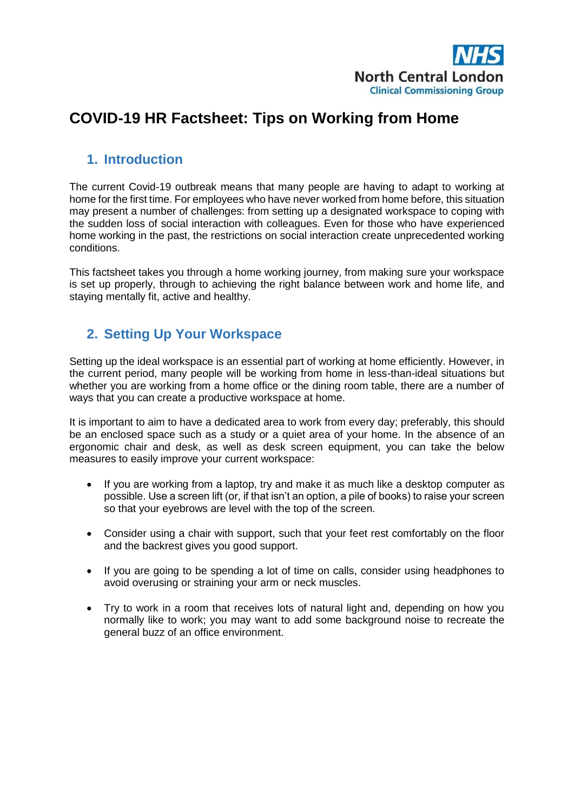

# **COVID-19 HR Factsheet: Tips on Working from Home**

#### **1. Introduction**

The current Covid-19 outbreak means that many people are having to adapt to working at home for the first time. For employees who have never worked from home before, this situation may present a number of challenges: from setting up a designated workspace to coping with the sudden loss of social interaction with colleagues. Even for those who have experienced home working in the past, the restrictions on social interaction create unprecedented working conditions.

This factsheet takes you through a home working journey, from making sure your workspace is set up properly, through to achieving the right balance between work and home life, and staying mentally fit, active and healthy.

## **2. Setting Up Your Workspace**

Setting up the ideal workspace is an essential part of working at home efficiently. However, in the current period, many people will be working from home in less-than-ideal situations but whether you are working from a home office or the dining room table, there are a number of ways that you can create a productive workspace at home.

It is important to aim to have a dedicated area to work from every day; preferably, this should be an enclosed space such as a study or a quiet area of your home. In the absence of an ergonomic chair and desk, as well as desk screen equipment, you can take the below measures to easily improve your current workspace:

- If you are working from a laptop, try and make it as much like a desktop computer as possible. Use a screen lift (or, if that isn't an option, a pile of books) to raise your screen so that your eyebrows are level with the top of the screen.
- Consider using a chair with support, such that your feet rest comfortably on the floor and the backrest gives you good support.
- If you are going to be spending a lot of time on calls, consider using headphones to avoid overusing or straining your arm or neck muscles.
- Try to work in a room that receives lots of natural light and, depending on how you normally like to work; you may want to add some background noise to recreate the general buzz of an office environment.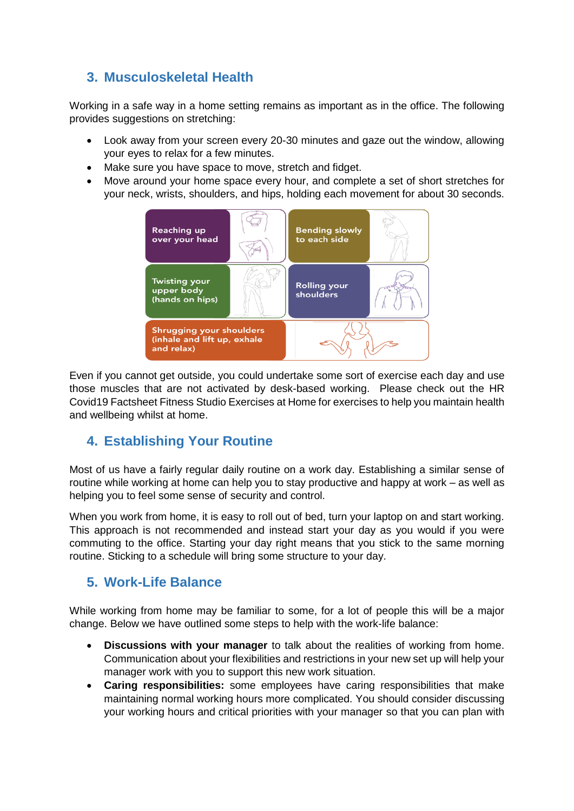## **3. Musculoskeletal Health**

Working in a safe way in a home setting remains as important as in the office. The following provides suggestions on stretching:

- Look away from your screen every 20-30 minutes and gaze out the window, allowing your eyes to relax for a few minutes.
- Make sure you have space to move, stretch and fidget.
- Move around your home space every hour, and complete a set of short stretches for your neck, wrists, shoulders, and hips, holding each movement for about 30 seconds.



Even if you cannot get outside, you could undertake some sort of exercise each day and use those muscles that are not activated by desk-based working. Please check out the HR Covid19 Factsheet Fitness Studio Exercises at Home for exercises to help you maintain health and wellbeing whilst at home.

## **4. Establishing Your Routine**

Most of us have a fairly regular daily routine on a work day. Establishing a similar sense of routine while working at home can help you to stay productive and happy at work – as well as helping you to feel some sense of security and control.

When you work from home, it is easy to roll out of bed, turn your laptop on and start working. This approach is not recommended and instead start your day as you would if you were commuting to the office. Starting your day right means that you stick to the same morning routine. Sticking to a schedule will bring some structure to your day.

## **5. Work-Life Balance**

While working from home may be familiar to some, for a lot of people this will be a major change. Below we have outlined some steps to help with the work-life balance:

- **Discussions with your manager** to talk about the realities of working from home. Communication about your flexibilities and restrictions in your new set up will help your manager work with you to support this new work situation.
- **Caring responsibilities:** some employees have caring responsibilities that make maintaining normal working hours more complicated. You should consider discussing your working hours and critical priorities with your manager so that you can plan with